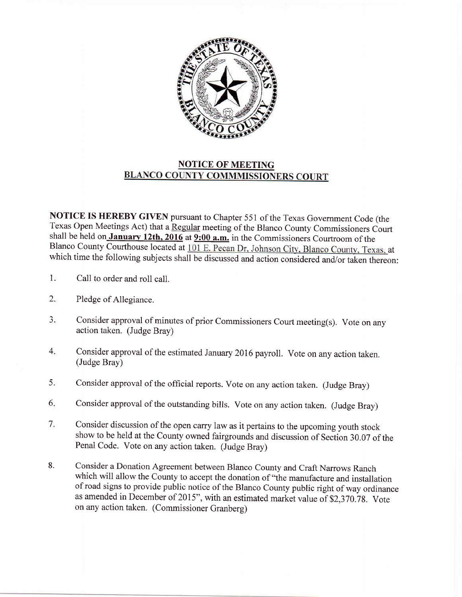

## NOTICE OF MEETING<br>BLANCO COUNTY COMMMISSIONERS COURT

NOTICE IS HEREBY GIVEN pursuant to Chapter 551 of the Texas Govemment Code (the Texas Open Meetings Act) that a Regular meeting of the Blanco County Commissioners Court shall be held on January 12th, 2016 at 9:00 a.m. in the Commissioners Courtroom of the Blanco County Courthouse located at 101 E. Pecan Dr, Johnson City, Blanco County, Texas, at which time the following subjects shall be discussed and action considered and/or taken thereon:

- 1. Call to order and roll call.
- Pledge of Allegiance. 2.
- Consider approval of minutes of prior Commissioners Court meeting(s). Vote on any action taken. (Judge Bray) J.
- Consider approval of the estimated January 2016 payroll. Vote on any action taken. (Judge Bray) 4.
- Consider approval of the official reports. vote on any action taken. (Judge Bray) 5.
- Consider approval of the outstanding bills. Vote on any action taken. (Judge Bray) 6
- Consider discussion of the open carry law as it pertains to the upcoming youth stock show to be held at the County owned fairgrounds and discussion of Section 30.07 of the Penal Code. Vote on any action taken. (Judge Bray) 7.
- Consider a Donation Agreement between Blanco County and Craft Narrows Ranch which will allow the County to accept the donation of "the manufacture and installation of road signs to provide public notice of the Blanco County public right of way ordinance as amended in December of 2015", with an estimated market value of  $$2,370.78$ . Vote on any action taken. (Commissioner Granberg) 8.